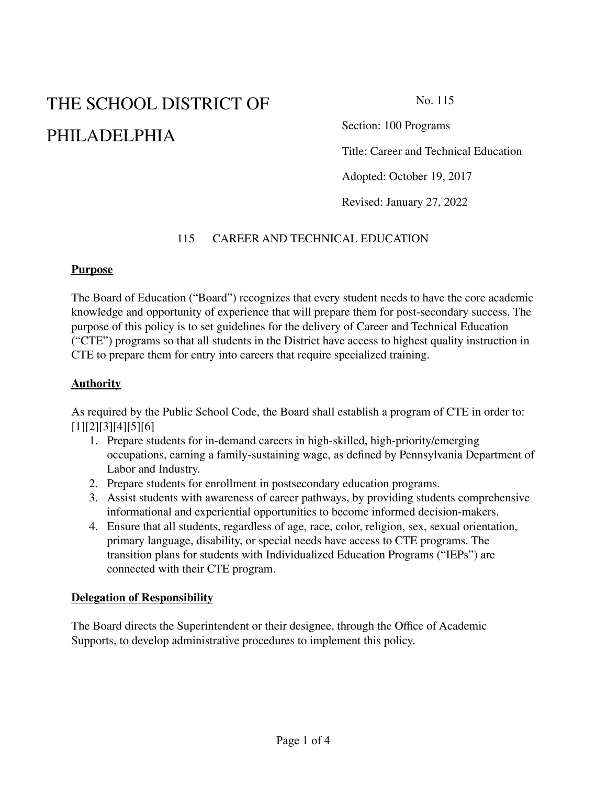# THE SCHOOL DISTRICT OF PHILADELPHIA

No. 115

Section: 100 Programs

Title: Career and Technical Education

Adopted: October 19, 2017

Revised: January 27, 2022

## 115 CAREER AND TECHNICAL EDUCATION

#### **Purpose**

The Board of Education ("Board") recognizes that every student needs to have the core academic knowledge and opportunity of experience that will prepare them for post-secondary success. The purpose of this policy is to set guidelines for the delivery of Career and Technical Education ("CTE") programs so that all students in the District have access to highest quality instruction in CTE to prepare them for entry into careers that require specialized training.

## **Authority**

As required by the Public School Code, the Board shall establish a program of CTE in order to: [1][2][3][4][5][6]

- 1. Prepare students for in-demand careers in high-skilled, high-priority/emerging occupations, earning a family-sustaining wage, as defined by Pennsylvania Department of Labor and Industry.
- 2. Prepare students for enrollment in postsecondary education programs.
- 3. Assist students with awareness of career pathways, by providing students comprehensive informational and experiential opportunities to become informed decision-makers.
- 4. Ensure that all students, regardless of age, race, color, religion, sex, sexual orientation, primary language, disability, or special needs have access to CTE programs. The transition plans for students with Individualized Education Programs ("IEPs") are connected with their CTE program.

#### **Delegation of Responsibility**

The Board directs the Superintendent or their designee, through the Office of Academic Supports, to develop administrative procedures to implement this policy.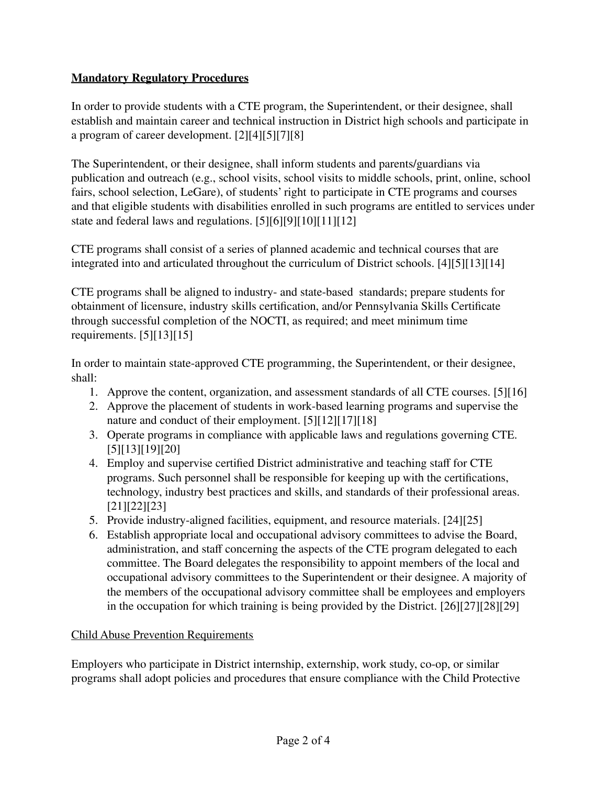# **Mandatory Regulatory Procedures**

In order to provide students with a CTE program, the Superintendent, or their designee, shall establish and maintain career and technical instruction in District high schools and participate in a program of career development. [2][4][5][7][8]

The Superintendent, or their designee, shall inform students and parents/guardians via publication and outreach (e.g., school visits, school visits to middle schools, print, online, school fairs, school selection, LeGare), of students' right to participate in CTE programs and courses and that eligible students with disabilities enrolled in such programs are entitled to services under state and federal laws and regulations. [5][6][9][10][11][12]

CTE programs shall consist of a series of planned academic and technical courses that are integrated into and articulated throughout the curriculum of District schools. [4][5][13][14]

CTE programs shall be aligned to industry- and state-based standards; prepare students for obtainment of licensure, industry skills certification, and/or Pennsylvania Skills Certificate through successful completion of the NOCTI, as required; and meet minimum time requirements. [5][13][15]

In order to maintain state-approved CTE programming, the Superintendent, or their designee, shall:

- 1. Approve the content, organization, and assessment standards of all CTE courses. [5][16]
- 2. Approve the placement of students in work-based learning programs and supervise the nature and conduct of their employment. [5][12][17][18]
- 3. Operate programs in compliance with applicable laws and regulations governing CTE. [5][13][19][20]
- 4. Employ and supervise certified District administrative and teaching staff for CTE programs. Such personnel shall be responsible for keeping up with the certifications, technology, industry best practices and skills, and standards of their professional areas. [21][22][23]
- 5. Provide industry-aligned facilities, equipment, and resource materials. [24][25]
- 6. Establish appropriate local and occupational advisory committees to advise the Board, administration, and staff concerning the aspects of the CTE program delegated to each committee. The Board delegates the responsibility to appoint members of the local and occupational advisory committees to the Superintendent or their designee. A majority of the members of the occupational advisory committee shall be employees and employers in the occupation for which training is being provided by the District. [26][27][28][29]

# Child Abuse Prevention Requirements

Employers who participate in District internship, externship, work study, co-op, or similar programs shall adopt policies and procedures that ensure compliance with the Child Protective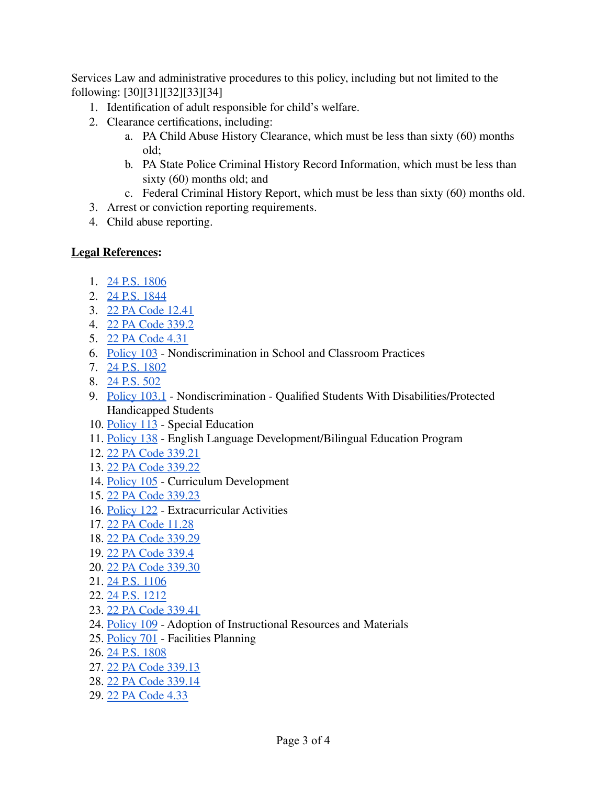Services Law and administrative procedures to this policy, including but not limited to the following: [30][31][32][33][34]

- 1. Identification of adult responsible for child's welfare.
- 2. Clearance certifications, including:
	- a. PA Child Abuse History Clearance, which must be less than sixty (60) months old;
	- b. PA State Police Criminal History Record Information, which must be less than sixty (60) months old; and
	- c. Federal Criminal History Report, which must be less than sixty (60) months old.
- 3. Arrest or conviction reporting requirements.
- 4. Child abuse reporting.

## **Legal References:**

- 1. 24 P.S. [1806](https://www.legis.state.pa.us/cfdocs/legis/LI/uconsCheck.cfm?txtType=HTM&yr=1949&sessInd=0&smthLwInd=0&act=14&chpt=18&sctn=6&subsctn=0)
- 2. 24 P.S. [1844](https://www.legis.state.pa.us/cfdocs/legis/LI/uconsCheck.cfm?txtType=HTM&yr=1949&sessInd=0&smthLwInd=0&act=14&chpt=18&sctn=44&subsctn=0)
- 3. 22 PA Code [12.41](http://www.pacodeandbulletin.gov/Display/pacode?file=/secure/pacode/data/022/chapter12/s12.41.html&d=reduce)
- 4. 22 PA Code [339.2](http://www.pacodeandbulletin.gov/Display/pacode?file=/secure/pacode/data/022/chapter339/s339.2.html&d=reduce)
- 5. 22 PA [Code](http://www.pacodeandbulletin.gov/Display/pacode?file=/secure/pacode/data/022/chapter4/s4.31.html&d=reduce) 4.31
- 6. [Policy](https://www.philasd.org/schoolboard/policies/) 103 Nondiscrimination in School and Classroom Practices
- 7. 24 P.S. [1802](https://www.legis.state.pa.us/cfdocs/legis/LI/uconsCheck.cfm?txtType=HTM&yr=1949&sessInd=0&smthLwInd=0&act=14&chpt=18&sctn=2&subsctn=0)
- 8. 24 [P.S.](https://www.legis.state.pa.us/cfdocs/legis/LI/uconsCheck.cfm?txtType=HTM&yr=1949&sessInd=0&smthLwInd=0&act=14&chpt=5&sctn=2&subsctn=0) 502
- 9. [Policy](https://www.philasd.org/schoolboard/policies/) 103.1 Nondiscrimination Qualified Students With Disabilities/Protected Handicapped Students
- 10. [Policy](https://www.philasd.org/schoolboard/policies/) 113 Special Education
- 11. [Policy](https://www.philasd.org/schoolboard/policies/) 138 English Language Development/Bilingual Education Program
- 12. 22 PA Code [339.21](http://www.pacodeandbulletin.gov/Display/pacode?file=/secure/pacode/data/022/chapter339/s339.21.html&d=reduce)
- 13. 22 PA Code [339.22](http://www.pacodeandbulletin.gov/Display/pacode?file=/secure/pacode/data/022/chapter339/s339.22.html&d=reduce)
- 14. [Policy](https://www.philasd.org/schoolboard/policies/) 105 Curriculum Development
- 15. 22 PA Code [339.23](http://www.pacodeandbulletin.gov/Display/pacode?file=/secure/pacode/data/022/chapter339/s339.23.html&d=reduce)
- 16. [Policy](https://www.philasd.org/schoolboard/policies/) 122 Extracurricular Activities
- 17. 22 PA Code [11.28](http://www.pacodeandbulletin.gov/Display/pacode?file=/secure/pacode/data/022/chapter11/s11.28.html&d=reduce)
- 18. 22 PA Code [339.29](http://www.pacodeandbulletin.gov/Display/pacode?file=/secure/pacode/data/022/chapter339/s339.29.html&d=reduce)
- 19. 22 PA Code [339.4](http://www.pacodeandbulletin.gov/Display/pacode?file=/secure/pacode/data/022/chapter339/s339.4.html&d=reduce)
- 20. 22 PA Code [339.30](http://www.pacodeandbulletin.gov/Display/pacode?file=/secure/pacode/data/022/chapter339/s339.30.html&d=reduce)
- 21. 24 P.S. [1106](https://www.legis.state.pa.us/cfdocs/legis/LI/uconsCheck.cfm?txtType=HTM&yr=1949&sessInd=0&smthLwInd=0&act=14&chpt=11&sctn=6&subsctn=0)
- 22. 24 P.S. [1212](https://www.legis.state.pa.us/cfdocs/legis/LI/uconsCheck.cfm?txtType=HTM&yr=1949&sessInd=0&smthLwInd=0&act=14&chpt=12&sctn=12&subsctn=0)
- 23. 22 PA Code [339.41](http://www.pacodeandbulletin.gov/Display/pacode?file=/secure/pacode/data/022/chapter339/s339.41.html&d=reduce)
- 24. [Policy](https://www.philasd.org/schoolboard/policies/) 109 Adoption of Instructional Resources and Materials
- 25. [Policy](https://www.philasd.org/schoolboard/policies/) 701 Facilities Planning
- 26. 24 P.S. [1808](https://www.legis.state.pa.us/cfdocs/legis/LI/uconsCheck.cfm?txtType=HTM&yr=1949&sessInd=0&smthLwInd=0&act=14&chpt=18&sctn=8&subsctn=0)
- 27. 22 PA Code [339.13](http://www.pacodeandbulletin.gov/Display/pacode?file=/secure/pacode/data/022/chapter339/s339.13.html&d=reduce)
- 28. 22 PA Code [339.14](http://www.pacodeandbulletin.gov/Display/pacode?file=/secure/pacode/data/022/chapter339/s339.14.html&d=reduce)
- 29. 22 PA [Code](http://www.pacodeandbulletin.gov/Display/pacode?file=/secure/pacode/data/022/chapter4/s4.33.html&d=reduce) 4.33